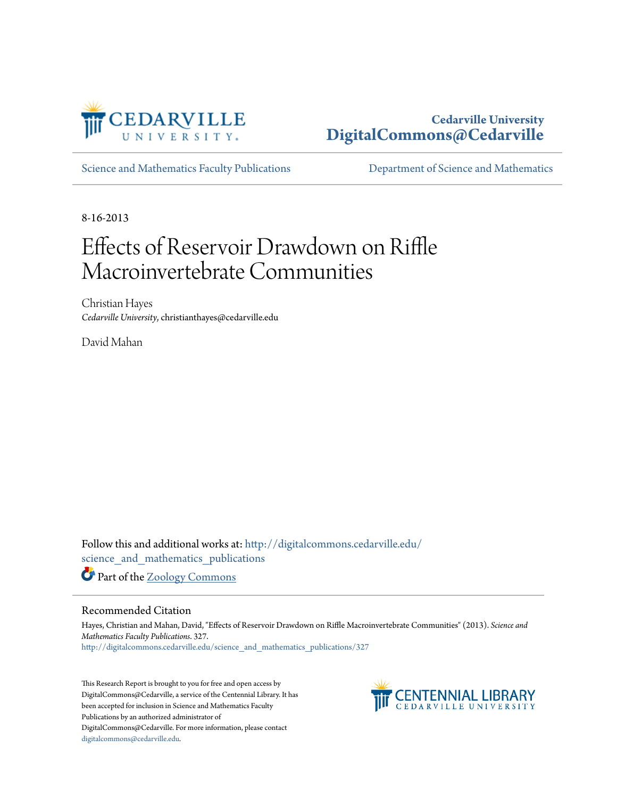

# **Cedarville University [DigitalCommons@Cedarville](http://digitalcommons.cedarville.edu?utm_source=digitalcommons.cedarville.edu%2Fscience_and_mathematics_publications%2F327&utm_medium=PDF&utm_campaign=PDFCoverPages)**

[Science and Mathematics Faculty Publications](http://digitalcommons.cedarville.edu/science_and_mathematics_publications?utm_source=digitalcommons.cedarville.edu%2Fscience_and_mathematics_publications%2F327&utm_medium=PDF&utm_campaign=PDFCoverPages) [Department of Science and Mathematics](http://digitalcommons.cedarville.edu/science_and_mathematics?utm_source=digitalcommons.cedarville.edu%2Fscience_and_mathematics_publications%2F327&utm_medium=PDF&utm_campaign=PDFCoverPages)

8-16-2013

# Effects of Reservoir Drawdown on Riffle Macroinvertebrate Communities

Christian Hayes *Cedarville University*, christianthayes@cedarville.edu

David Mahan

Follow this and additional works at: [http://digitalcommons.cedarville.edu/](http://digitalcommons.cedarville.edu/science_and_mathematics_publications?utm_source=digitalcommons.cedarville.edu%2Fscience_and_mathematics_publications%2F327&utm_medium=PDF&utm_campaign=PDFCoverPages) [science\\_and\\_mathematics\\_publications](http://digitalcommons.cedarville.edu/science_and_mathematics_publications?utm_source=digitalcommons.cedarville.edu%2Fscience_and_mathematics_publications%2F327&utm_medium=PDF&utm_campaign=PDFCoverPages)

Part of the [Zoology Commons](http://network.bepress.com/hgg/discipline/81?utm_source=digitalcommons.cedarville.edu%2Fscience_and_mathematics_publications%2F327&utm_medium=PDF&utm_campaign=PDFCoverPages)

#### Recommended Citation

Hayes, Christian and Mahan, David, "Effects of Reservoir Drawdown on Riffle Macroinvertebrate Communities" (2013). *Science and Mathematics Faculty Publications*. 327. [http://digitalcommons.cedarville.edu/science\\_and\\_mathematics\\_publications/327](http://digitalcommons.cedarville.edu/science_and_mathematics_publications/327?utm_source=digitalcommons.cedarville.edu%2Fscience_and_mathematics_publications%2F327&utm_medium=PDF&utm_campaign=PDFCoverPages)

This Research Report is brought to you for free and open access by DigitalCommons@Cedarville, a service of the Centennial Library. It has been accepted for inclusion in Science and Mathematics Faculty Publications by an authorized administrator of DigitalCommons@Cedarville. For more information, please contact [digitalcommons@cedarville.edu](mailto:digitalcommons@cedarville.edu).

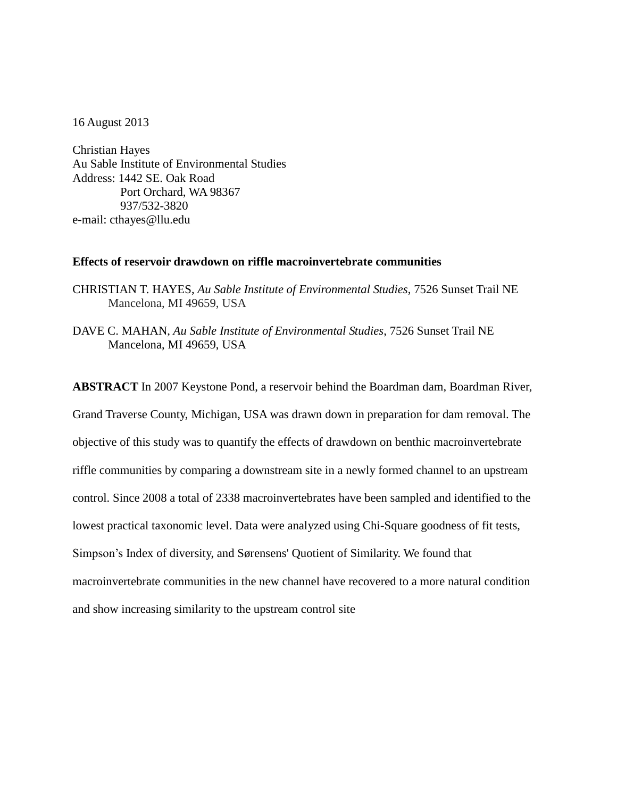16 August 2013

Christian Hayes Au Sable Institute of Environmental Studies Address: 1442 SE. Oak Road Port Orchard, WA 98367 937/532-3820 e-mail: cthayes@llu.edu

#### **Effects of reservoir drawdown on riffle macroinvertebrate communities**

CHRISTIAN T. HAYES, *Au Sable Institute of Environmental Studies*, 7526 Sunset Trail NE Mancelona, MI 49659, USA

DAVE C. MAHAN, *Au Sable Institute of Environmental Studies*, 7526 Sunset Trail NE Mancelona, MI 49659, USA

**ABSTRACT** In 2007 Keystone Pond, a reservoir behind the Boardman dam, Boardman River, Grand Traverse County, Michigan, USA was drawn down in preparation for dam removal. The objective of this study was to quantify the effects of drawdown on benthic macroinvertebrate riffle communities by comparing a downstream site in a newly formed channel to an upstream control. Since 2008 a total of 2338 macroinvertebrates have been sampled and identified to the lowest practical taxonomic level. Data were analyzed using Chi-Square goodness of fit tests, Simpson's Index of diversity, and Sørensens' Quotient of Similarity. We found that macroinvertebrate communities in the new channel have recovered to a more natural condition and show increasing similarity to the upstream control site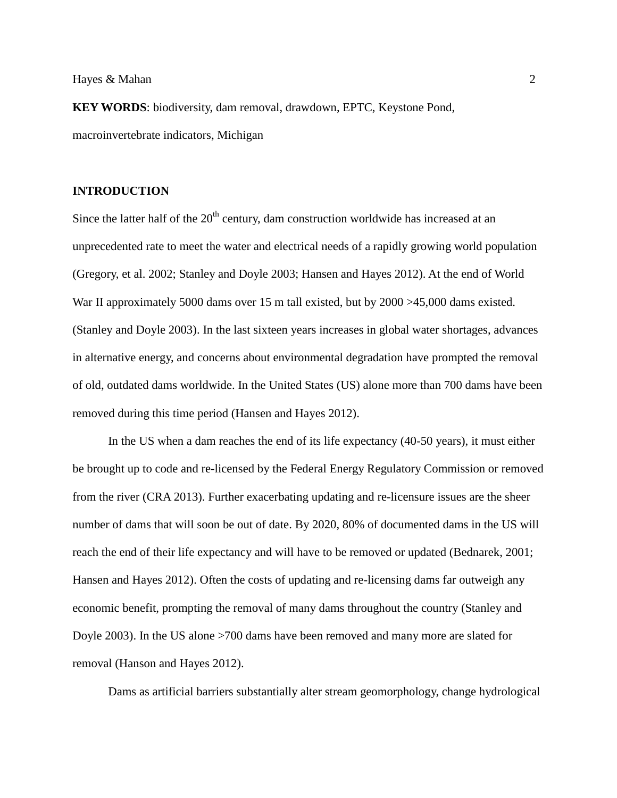**KEY WORDS**: biodiversity, dam removal, drawdown, EPTC, Keystone Pond, macroinvertebrate indicators, Michigan

#### **INTRODUCTION**

Since the latter half of the  $20<sup>th</sup>$  century, dam construction worldwide has increased at an unprecedented rate to meet the water and electrical needs of a rapidly growing world population (Gregory, et al. 2002; Stanley and Doyle 2003; Hansen and Hayes 2012). At the end of World War II approximately 5000 dams over 15 m tall existed, but by 2000 >45,000 dams existed. (Stanley and Doyle 2003). In the last sixteen years increases in global water shortages, advances in alternative energy, and concerns about environmental degradation have prompted the removal of old, outdated dams worldwide. In the United States (US) alone more than 700 dams have been removed during this time period (Hansen and Hayes 2012).

In the US when a dam reaches the end of its life expectancy (40-50 years), it must either be brought up to code and re-licensed by the Federal Energy Regulatory Commission or removed from the river (CRA 2013). Further exacerbating updating and re-licensure issues are the sheer number of dams that will soon be out of date. By 2020, 80% of documented dams in the US will reach the end of their life expectancy and will have to be removed or updated (Bednarek, 2001; Hansen and Hayes 2012). Often the costs of updating and re-licensing dams far outweigh any economic benefit, prompting the removal of many dams throughout the country (Stanley and Doyle 2003). In the US alone >700 dams have been removed and many more are slated for removal (Hanson and Hayes 2012).

Dams as artificial barriers substantially alter stream geomorphology, change hydrological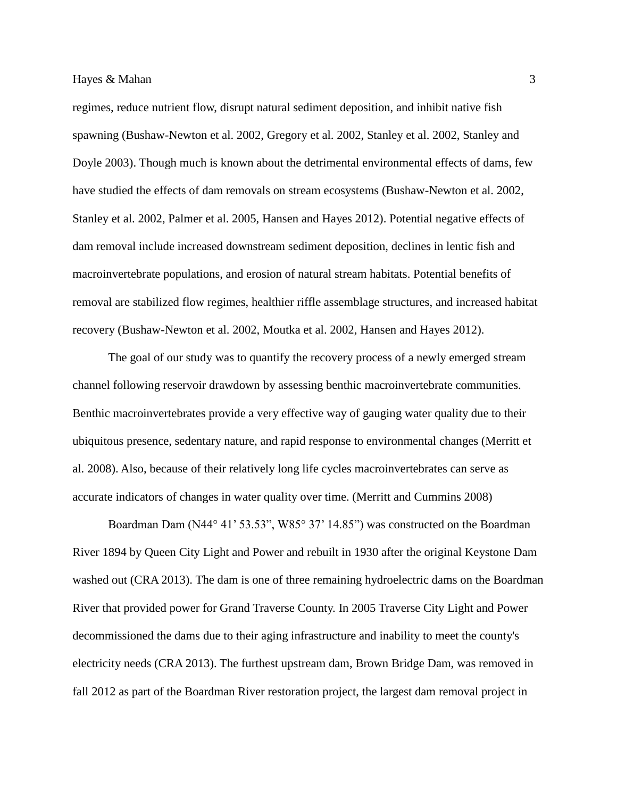regimes, reduce nutrient flow, disrupt natural sediment deposition, and inhibit native fish spawning (Bushaw-Newton et al. 2002, Gregory et al. 2002, Stanley et al. 2002, Stanley and Doyle 2003). Though much is known about the detrimental environmental effects of dams, few have studied the effects of dam removals on stream ecosystems (Bushaw-Newton et al. 2002, Stanley et al. 2002, Palmer et al. 2005, Hansen and Hayes 2012). Potential negative effects of dam removal include increased downstream sediment deposition, declines in lentic fish and macroinvertebrate populations, and erosion of natural stream habitats. Potential benefits of removal are stabilized flow regimes, healthier riffle assemblage structures, and increased habitat recovery (Bushaw-Newton et al. 2002, Moutka et al. 2002, Hansen and Hayes 2012).

The goal of our study was to quantify the recovery process of a newly emerged stream channel following reservoir drawdown by assessing benthic macroinvertebrate communities. Benthic macroinvertebrates provide a very effective way of gauging water quality due to their ubiquitous presence, sedentary nature, and rapid response to environmental changes (Merritt et al. 2008). Also, because of their relatively long life cycles macroinvertebrates can serve as accurate indicators of changes in water quality over time. (Merritt and Cummins 2008)

Boardman Dam (N44° 41' 53.53", W85° 37' 14.85") was constructed on the Boardman River 1894 by Queen City Light and Power and rebuilt in 1930 after the original Keystone Dam washed out (CRA 2013). The dam is one of three remaining hydroelectric dams on the Boardman River that provided power for Grand Traverse County. In 2005 Traverse City Light and Power decommissioned the dams due to their aging infrastructure and inability to meet the county's electricity needs (CRA 2013). The furthest upstream dam, Brown Bridge Dam, was removed in fall 2012 as part of the Boardman River restoration project, the largest dam removal project in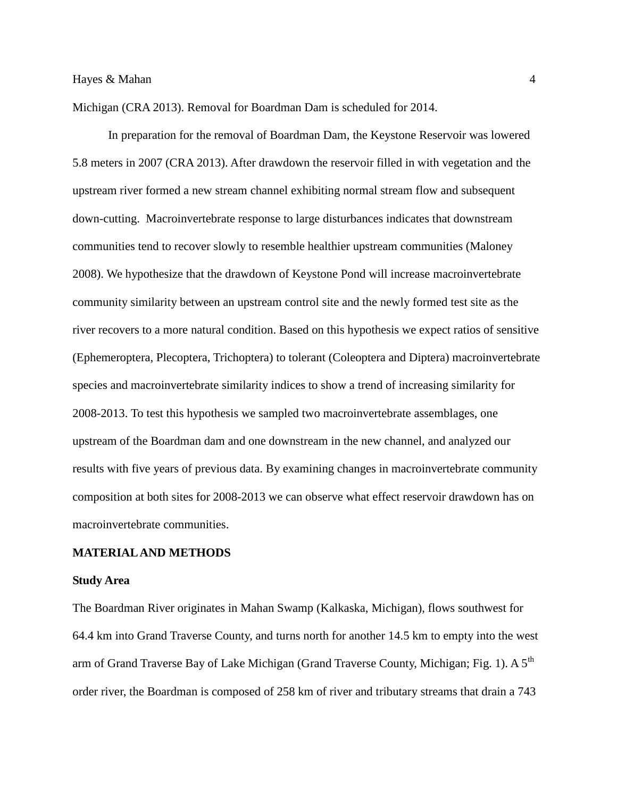Michigan (CRA 2013). Removal for Boardman Dam is scheduled for 2014.

In preparation for the removal of Boardman Dam, the Keystone Reservoir was lowered 5.8 meters in 2007 (CRA 2013). After drawdown the reservoir filled in with vegetation and the upstream river formed a new stream channel exhibiting normal stream flow and subsequent down-cutting. Macroinvertebrate response to large disturbances indicates that downstream communities tend to recover slowly to resemble healthier upstream communities (Maloney 2008). We hypothesize that the drawdown of Keystone Pond will increase macroinvertebrate community similarity between an upstream control site and the newly formed test site as the river recovers to a more natural condition. Based on this hypothesis we expect ratios of sensitive (Ephemeroptera, Plecoptera, Trichoptera) to tolerant (Coleoptera and Diptera) macroinvertebrate species and macroinvertebrate similarity indices to show a trend of increasing similarity for 2008-2013. To test this hypothesis we sampled two macroinvertebrate assemblages, one upstream of the Boardman dam and one downstream in the new channel, and analyzed our results with five years of previous data. By examining changes in macroinvertebrate community composition at both sites for 2008-2013 we can observe what effect reservoir drawdown has on macroinvertebrate communities.

#### **MATERIAL AND METHODS**

#### **Study Area**

The Boardman River originates in Mahan Swamp (Kalkaska, Michigan), flows southwest for 64.4 km into Grand Traverse County, and turns north for another 14.5 km to empty into the west arm of Grand Traverse Bay of Lake Michigan (Grand Traverse County, Michigan; Fig. 1). A  $5<sup>th</sup>$ order river, the Boardman is composed of 258 km of river and tributary streams that drain a 743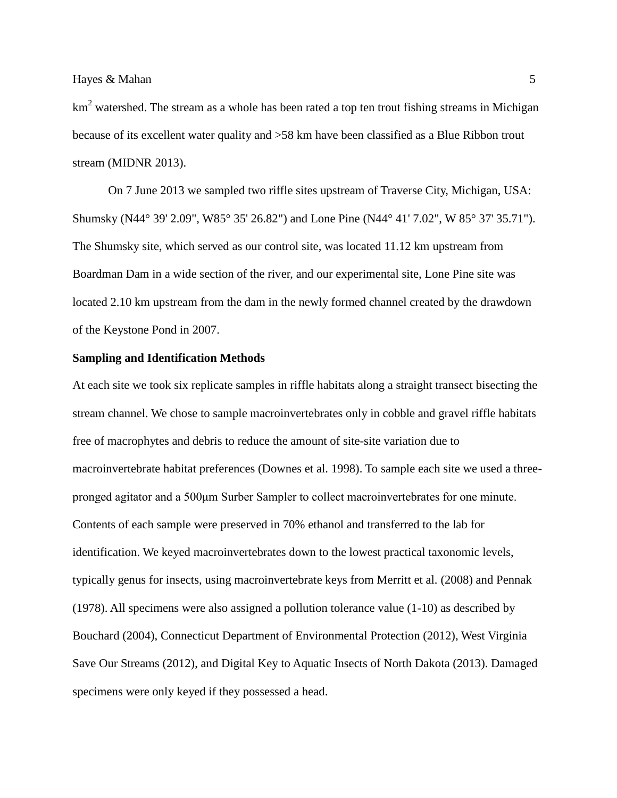$km<sup>2</sup>$  watershed. The stream as a whole has been rated a top ten trout fishing streams in Michigan because of its excellent water quality and >58 km have been classified as a Blue Ribbon trout stream (MIDNR 2013).

On 7 June 2013 we sampled two riffle sites upstream of Traverse City, Michigan, USA: Shumsky (N44° 39' 2.09", W85° 35' 26.82") and Lone Pine (N44° 41' 7.02", W 85° 37' 35.71"). The Shumsky site, which served as our control site, was located 11.12 km upstream from Boardman Dam in a wide section of the river, and our experimental site, Lone Pine site was located 2.10 km upstream from the dam in the newly formed channel created by the drawdown of the Keystone Pond in 2007.

#### **Sampling and Identification Methods**

At each site we took six replicate samples in riffle habitats along a straight transect bisecting the stream channel. We chose to sample macroinvertebrates only in cobble and gravel riffle habitats free of macrophytes and debris to reduce the amount of site-site variation due to macroinvertebrate habitat preferences (Downes et al. 1998). To sample each site we used a threepronged agitator and a 500μm Surber Sampler to collect macroinvertebrates for one minute. Contents of each sample were preserved in 70% ethanol and transferred to the lab for identification. We keyed macroinvertebrates down to the lowest practical taxonomic levels, typically genus for insects, using macroinvertebrate keys from Merritt et al. (2008) and Pennak (1978). All specimens were also assigned a pollution tolerance value (1-10) as described by Bouchard (2004), Connecticut Department of Environmental Protection (2012), West Virginia Save Our Streams (2012), and Digital Key to Aquatic Insects of North Dakota (2013). Damaged specimens were only keyed if they possessed a head.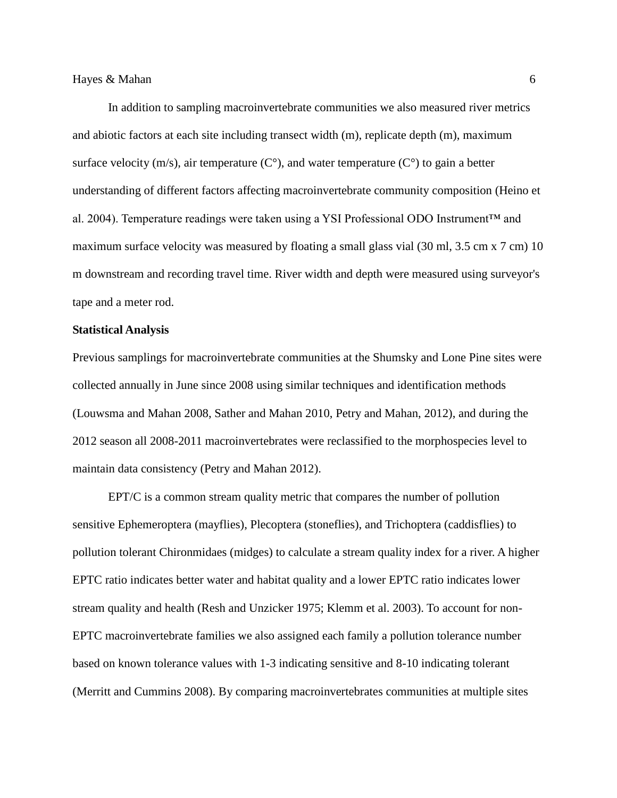In addition to sampling macroinvertebrate communities we also measured river metrics and abiotic factors at each site including transect width (m), replicate depth (m), maximum surface velocity (m/s), air temperature ( $C^{\circ}$ ), and water temperature ( $C^{\circ}$ ) to gain a better understanding of different factors affecting macroinvertebrate community composition (Heino et al. 2004). Temperature readings were taken using a YSI Professional ODO Instrument™ and maximum surface velocity was measured by floating a small glass vial (30 ml, 3.5 cm x 7 cm) 10 m downstream and recording travel time. River width and depth were measured using surveyor's tape and a meter rod.

#### **Statistical Analysis**

Previous samplings for macroinvertebrate communities at the Shumsky and Lone Pine sites were collected annually in June since 2008 using similar techniques and identification methods (Louwsma and Mahan 2008, Sather and Mahan 2010, Petry and Mahan, 2012), and during the 2012 season all 2008-2011 macroinvertebrates were reclassified to the morphospecies level to maintain data consistency (Petry and Mahan 2012).

EPT/C is a common stream quality metric that compares the number of pollution sensitive Ephemeroptera (mayflies), Plecoptera (stoneflies), and Trichoptera (caddisflies) to pollution tolerant Chironmidaes (midges) to calculate a stream quality index for a river. A higher EPTC ratio indicates better water and habitat quality and a lower EPTC ratio indicates lower stream quality and health (Resh and Unzicker 1975; Klemm et al. 2003). To account for non-EPTC macroinvertebrate families we also assigned each family a pollution tolerance number based on known tolerance values with 1-3 indicating sensitive and 8-10 indicating tolerant (Merritt and Cummins 2008). By comparing macroinvertebrates communities at multiple sites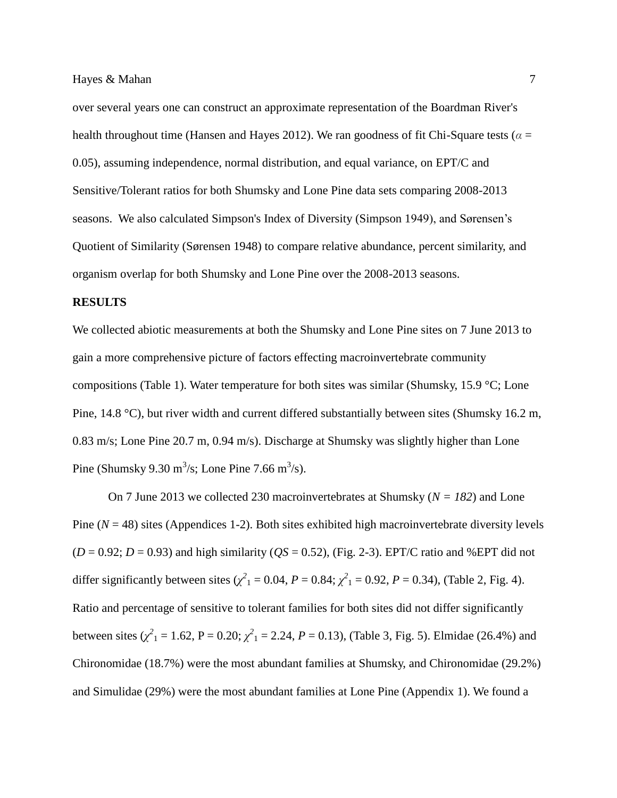over several years one can construct an approximate representation of the Boardman River's health throughout time (Hansen and Hayes 2012). We ran goodness of fit Chi-Square tests ( $\alpha$  = 0.05), assuming independence, normal distribution, and equal variance, on EPT/C and Sensitive/Tolerant ratios for both Shumsky and Lone Pine data sets comparing 2008-2013 seasons. We also calculated Simpson's Index of Diversity (Simpson 1949), and Sørensen's Quotient of Similarity (Sørensen 1948) to compare relative abundance, percent similarity, and organism overlap for both Shumsky and Lone Pine over the 2008-2013 seasons.

#### **RESULTS**

We collected abiotic measurements at both the Shumsky and Lone Pine sites on 7 June 2013 to gain a more comprehensive picture of factors effecting macroinvertebrate community compositions (Table 1). Water temperature for both sites was similar (Shumsky, 15.9 °C; Lone Pine, 14.8 °C), but river width and current differed substantially between sites (Shumsky 16.2 m, 0.83 m/s; Lone Pine 20.7 m, 0.94 m/s). Discharge at Shumsky was slightly higher than Lone Pine (Shumsky 9.30 m<sup>3</sup>/s; Lone Pine 7.66 m<sup>3</sup>/s).

On 7 June 2013 we collected 230 macroinvertebrates at Shumsky (*N = 182*) and Lone Pine  $(N = 48)$  sites (Appendices 1-2). Both sites exhibited high macroinvertebrate diversity levels  $(D = 0.92; D = 0.93)$  and high similarity  $(QS = 0.52)$ , (Fig. 2-3). EPT/C ratio and %EPT did not differ significantly between sites  $(\chi^2_1 = 0.04, P = 0.84; \chi^2_1 = 0.92, P = 0.34)$ , (Table 2, Fig. 4). Ratio and percentage of sensitive to tolerant families for both sites did not differ significantly between sites  $(\chi^2_1 = 1.62, P = 0.20; \chi^2_1 = 2.24, P = 0.13)$ , (Table 3, Fig. 5). Elmidae (26.4%) and Chironomidae (18.7%) were the most abundant families at Shumsky, and Chironomidae (29.2%) and Simulidae (29%) were the most abundant families at Lone Pine (Appendix 1). We found a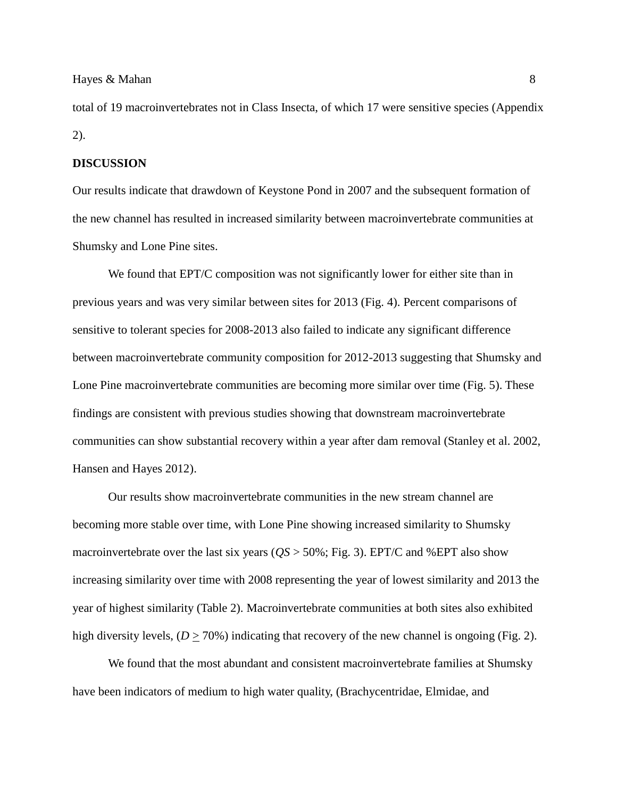#### Hayes & Mahan 8 and 1 and 1 and 1 and 1 and 1 and 1 and 1 and 1 and 1 and 1 and 1 and 1 and 1 and 1 and 1 and 1 and 1 and 1 and 1 and 1 and 1 and 1 and 1 and 1 and 1 and 1 and 1 and 1 and 1 and 1 and 1 and 1 and 1 and 1 an

total of 19 macroinvertebrates not in Class Insecta, of which 17 were sensitive species (Appendix 2).

#### **DISCUSSION**

Our results indicate that drawdown of Keystone Pond in 2007 and the subsequent formation of the new channel has resulted in increased similarity between macroinvertebrate communities at Shumsky and Lone Pine sites.

We found that EPT/C composition was not significantly lower for either site than in previous years and was very similar between sites for 2013 (Fig. 4). Percent comparisons of sensitive to tolerant species for 2008-2013 also failed to indicate any significant difference between macroinvertebrate community composition for 2012-2013 suggesting that Shumsky and Lone Pine macroinvertebrate communities are becoming more similar over time (Fig. 5). These findings are consistent with previous studies showing that downstream macroinvertebrate communities can show substantial recovery within a year after dam removal (Stanley et al. 2002, Hansen and Hayes 2012).

Our results show macroinvertebrate communities in the new stream channel are becoming more stable over time, with Lone Pine showing increased similarity to Shumsky macroinvertebrate over the last six years (*QS* > 50%; Fig. 3). EPT/C and %EPT also show increasing similarity over time with 2008 representing the year of lowest similarity and 2013 the year of highest similarity (Table 2). Macroinvertebrate communities at both sites also exhibited high diversity levels,  $(D \ge 70\%)$  indicating that recovery of the new channel is ongoing (Fig. 2).

We found that the most abundant and consistent macroinvertebrate families at Shumsky have been indicators of medium to high water quality, (Brachycentridae, Elmidae, and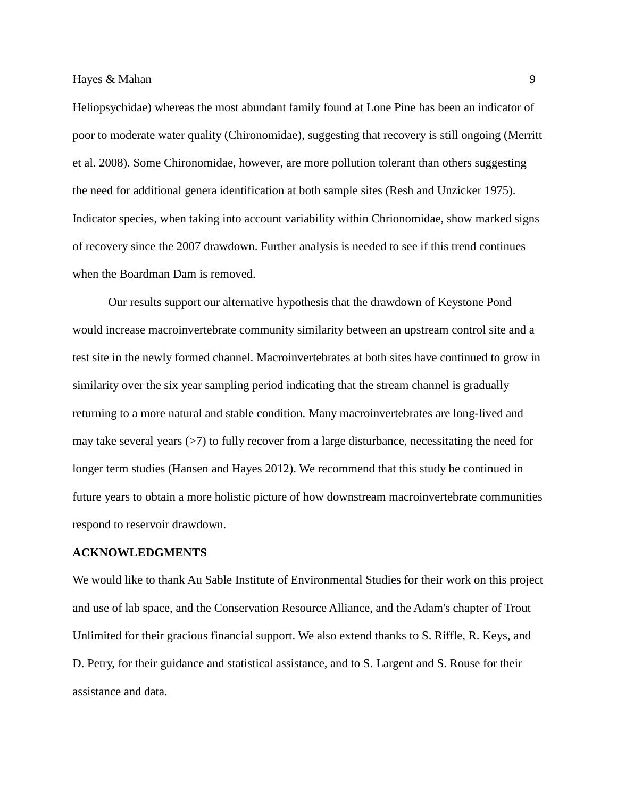Heliopsychidae) whereas the most abundant family found at Lone Pine has been an indicator of poor to moderate water quality (Chironomidae), suggesting that recovery is still ongoing (Merritt et al. 2008). Some Chironomidae, however, are more pollution tolerant than others suggesting the need for additional genera identification at both sample sites (Resh and Unzicker 1975). Indicator species, when taking into account variability within Chrionomidae, show marked signs of recovery since the 2007 drawdown. Further analysis is needed to see if this trend continues when the Boardman Dam is removed.

Our results support our alternative hypothesis that the drawdown of Keystone Pond would increase macroinvertebrate community similarity between an upstream control site and a test site in the newly formed channel. Macroinvertebrates at both sites have continued to grow in similarity over the six year sampling period indicating that the stream channel is gradually returning to a more natural and stable condition. Many macroinvertebrates are long-lived and may take several years  $($ >7) to fully recover from a large disturbance, necessitating the need for longer term studies (Hansen and Hayes 2012). We recommend that this study be continued in future years to obtain a more holistic picture of how downstream macroinvertebrate communities respond to reservoir drawdown.

#### **ACKNOWLEDGMENTS**

We would like to thank Au Sable Institute of Environmental Studies for their work on this project and use of lab space, and the Conservation Resource Alliance, and the Adam's chapter of Trout Unlimited for their gracious financial support. We also extend thanks to S. Riffle, R. Keys, and D. Petry, for their guidance and statistical assistance, and to S. Largent and S. Rouse for their assistance and data.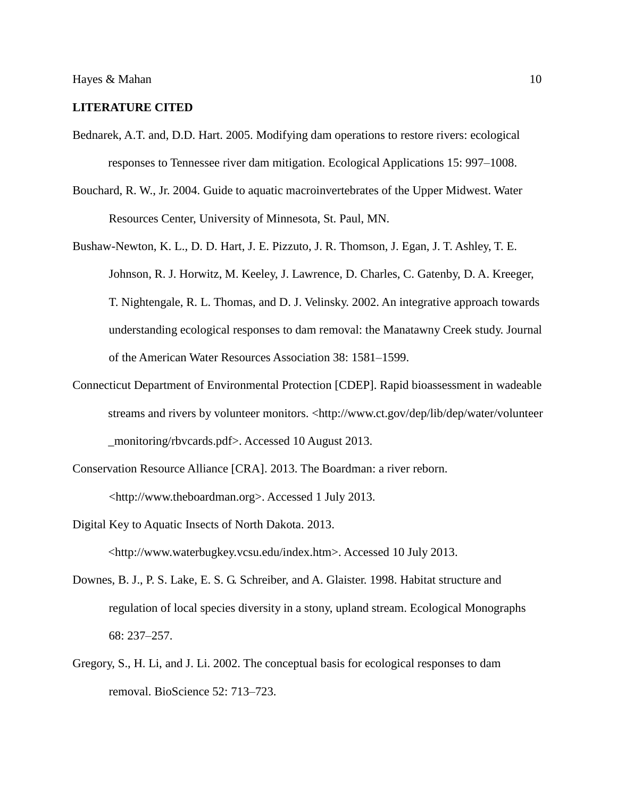#### **LITERATURE CITED**

- Bednarek, A.T. and, D.D. Hart. 2005. Modifying dam operations to restore rivers: ecological responses to Tennessee river dam mitigation. Ecological Applications 15: 997–1008.
- Bouchard, R. W., Jr. 2004. Guide to aquatic macroinvertebrates of the Upper Midwest. Water Resources Center, University of Minnesota, St. Paul, MN.
- Bushaw-Newton, K. L., D. D. Hart, J. E. Pizzuto, J. R. Thomson, J. Egan, J. T. Ashley, T. E. Johnson, R. J. Horwitz, M. Keeley, J. Lawrence, D. Charles, C. Gatenby, D. A. Kreeger, T. Nightengale, R. L. Thomas, and D. J. Velinsky. 2002. An integrative approach towards understanding ecological responses to dam removal: the Manatawny Creek study. Journal of the American Water Resources Association 38: 1581–1599.
- Connecticut Department of Environmental Protection [CDEP]. Rapid bioassessment in wadeable streams and rivers by volunteer monitors. <http://www.ct.gov/dep/lib/dep/water/volunteer \_monitoring/rbvcards.pdf>. Accessed 10 August 2013.
- Conservation Resource Alliance [CRA]. 2013. The Boardman: a river reborn. <http://www.theboardman.org>. Accessed 1 July 2013.
- Digital Key to Aquatic Insects of North Dakota. 2013. <http://www.waterbugkey.vcsu.edu/index.htm>. Accessed 10 July 2013.
- Downes, B. J., P. S. Lake, E. S. G. Schreiber, and A. Glaister. 1998. Habitat structure and regulation of local species diversity in a stony, upland stream. Ecological Monographs 68: 237–257.
- Gregory, S., H. Li, and J. Li. 2002. The conceptual basis for ecological responses to dam removal. BioScience 52: 713–723.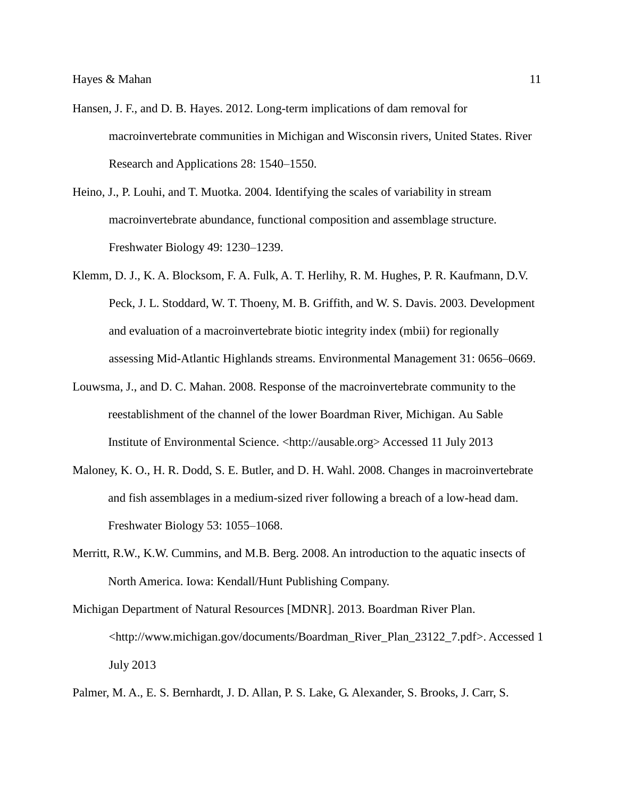- Hansen, J. F., and D. B. Hayes. 2012. Long-term implications of dam removal for macroinvertebrate communities in Michigan and Wisconsin rivers, United States. River Research and Applications 28: 1540–1550.
- Heino, J., P. Louhi, and T. Muotka. 2004. Identifying the scales of variability in stream macroinvertebrate abundance, functional composition and assemblage structure. Freshwater Biology 49: 1230–1239.
- Klemm, D. J., K. A. Blocksom, F. A. Fulk, A. T. Herlihy, R. M. Hughes, P. R. Kaufmann, D.V. Peck, J. L. Stoddard, W. T. Thoeny, M. B. Griffith, and W. S. Davis. 2003. Development and evaluation of a macroinvertebrate biotic integrity index (mbii) for regionally assessing Mid-Atlantic Highlands streams. Environmental Management 31: 0656–0669.
- Louwsma, J., and D. C. Mahan. 2008. Response of the macroinvertebrate community to the reestablishment of the channel of the lower Boardman River, Michigan. Au Sable Institute of Environmental Science. <http://ausable.org> Accessed 11 July 2013
- Maloney, K. O., H. R. Dodd, S. E. Butler, and D. H. Wahl. 2008. Changes in macroinvertebrate and fish assemblages in a medium-sized river following a breach of a low-head dam. Freshwater Biology 53: 1055–1068.
- Merritt, R.W., K.W. Cummins, and M.B. Berg. 2008. An introduction to the aquatic insects of North America. Iowa: Kendall/Hunt Publishing Company.
- Michigan Department of Natural Resources [MDNR]. 2013. Boardman River Plan. <http://www.michigan.gov/documents/Boardman\_River\_Plan\_23122\_7.pdf>. Accessed 1 July 2013
- Palmer, M. A., E. S. Bernhardt, J. D. Allan, P. S. Lake, G. Alexander, S. Brooks, J. Carr, S.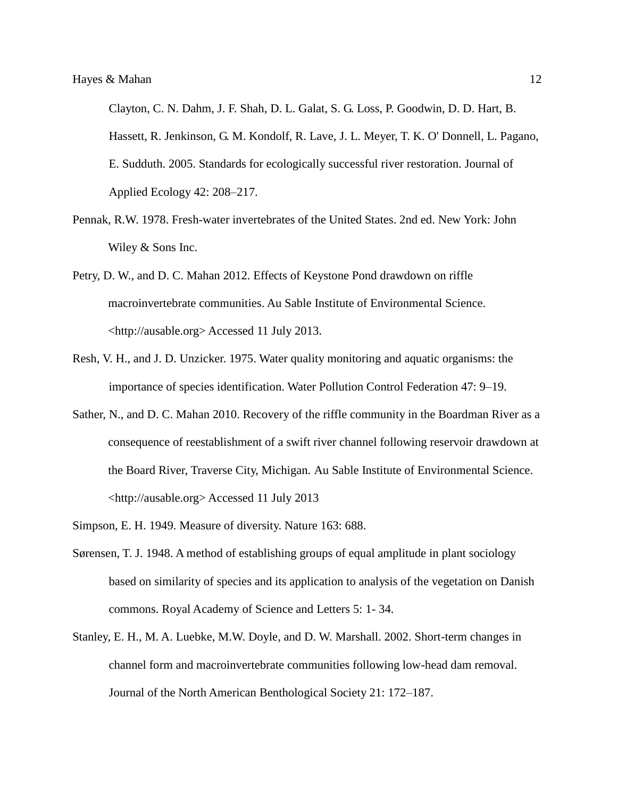Clayton, C. N. Dahm, J. F. Shah, D. L. Galat, S. G. Loss, P. Goodwin, D. D. Hart, B. Hassett, R. Jenkinson, G. M. Kondolf, R. Lave, J. L. Meyer, T. K. O' Donnell, L. Pagano, E. Sudduth. 2005. Standards for ecologically successful river restoration. Journal of Applied Ecology 42: 208–217.

- Pennak, R.W. 1978. Fresh-water invertebrates of the United States. 2nd ed. New York: John Wiley & Sons Inc.
- Petry, D. W., and D. C. Mahan 2012. Effects of Keystone Pond drawdown on riffle macroinvertebrate communities. Au Sable Institute of Environmental Science. <http://ausable.org> Accessed 11 July 2013.
- Resh, V. H., and J. D. Unzicker. 1975. Water quality monitoring and aquatic organisms: the importance of species identification. Water Pollution Control Federation 47: 9–19.
- Sather, N., and D. C. Mahan 2010. Recovery of the riffle community in the Boardman River as a consequence of reestablishment of a swift river channel following reservoir drawdown at the Board River, Traverse City, Michigan. Au Sable Institute of Environmental Science. <http://ausable.org> Accessed 11 July 2013
- Simpson, E. H. 1949. Measure of diversity. Nature 163: 688.
- Sørensen, T. J. 1948. A method of establishing groups of equal amplitude in plant sociology based on similarity of species and its application to analysis of the vegetation on Danish commons. Royal Academy of Science and Letters 5: 1- 34.
- Stanley, E. H., M. A. Luebke, M.W. Doyle, and D. W. Marshall. 2002. Short-term changes in channel form and macroinvertebrate communities following low-head dam removal. Journal of the North American Benthological Society 21: 172–187.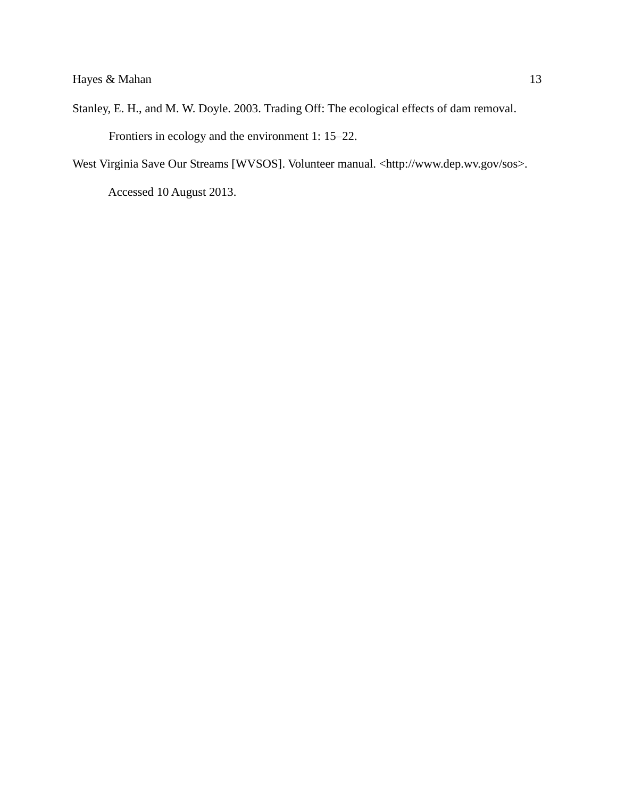- Stanley, E. H., and M. W. Doyle. 2003. Trading Off: The ecological effects of dam removal. Frontiers in ecology and the environment 1: 15–22.
- West Virginia Save Our Streams [WVSOS]. Volunteer manual. <http://www.dep.wv.gov/sos>. Accessed 10 August 2013.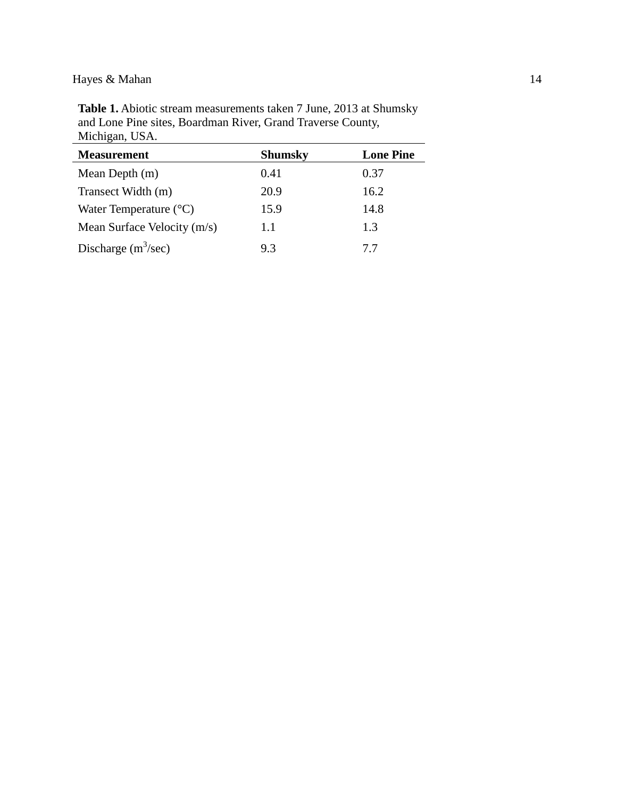**Table 1.** Abiotic stream measurements taken 7 June, 2013 at Shumsky and Lone Pine sites, Boardman River, Grand Traverse County, Michigan, USA.

| <b>Measurement</b>              | <b>Shumsky</b> | <b>Lone Pine</b> |
|---------------------------------|----------------|------------------|
| Mean Depth $(m)$                | 0.41           | 0.37             |
| Transect Width (m)              | 20.9           | 16.2             |
| Water Temperature $(^{\circ}C)$ | 15.9           | 14.8             |
| Mean Surface Velocity (m/s)     | 1.1            | 1.3              |
| Discharge $(m^3/sec)$           | 93             | 77               |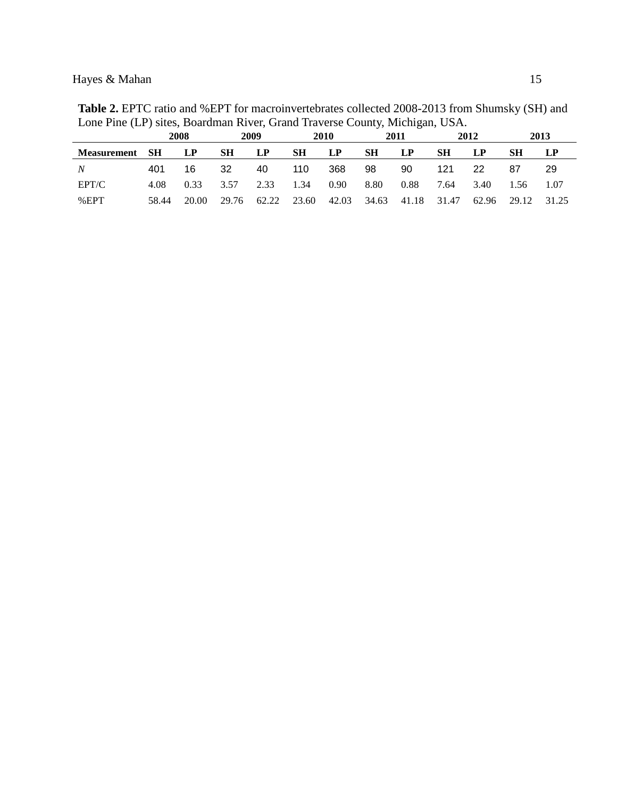|             |      |      |      |      |           |      |           | ັ    |           |      |           |      |
|-------------|------|------|------|------|-----------|------|-----------|------|-----------|------|-----------|------|
|             |      | 2008 |      | 2009 |           | 2010 |           | 2011 |           | 2012 |           | 2013 |
| Measurement | - SH | LP   | SН   | LP   | <b>SH</b> | LP   | <b>SH</b> | LP   | <b>SH</b> | LP   | <b>SH</b> |      |
| N           | 401  | 16   | -32  | 40   | 110       | -368 | 98        | 90   | 121       | 22   | 87        | -29  |
| EPT/C       | 4.08 | 0.33 | 3.57 | 2.33 | 1.34      | 0.90 | 8.80      | 0.88 | 7.64      | 3.40 | 1.56      | 1.07 |

%EPT 58.44 20.00 29.76 62.22 23.60 42.03 34.63 41.18 31.47 62.96 29.12 31.25

**Table 2.** EPTC ratio and %EPT for macroinvertebrates collected 2008-2013 from Shumsky (SH) and Lone Pine (LP) sites, Boardman River, Grand Traverse County, Michigan, USA.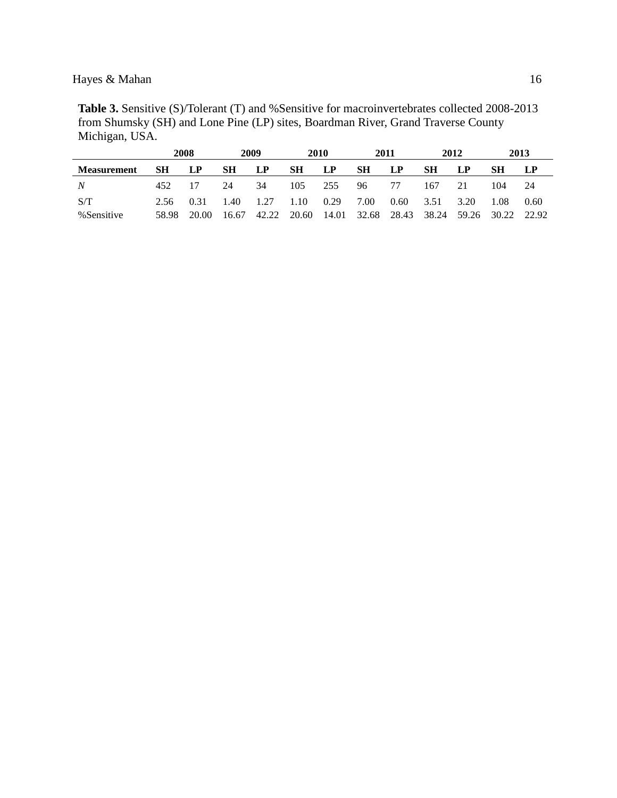**Table 3.** Sensitive (S)/Tolerant (T) and %Sensitive for macroinvertebrates collected 2008-2013 from Shumsky (SH) and Lone Pine (LP) sites, Boardman River, Grand Traverse County Michigan, USA.

|                    |       | 2008  |       | 2009      |           | 2010  |                   | 2011 |           | 2012  |             | 2013 |
|--------------------|-------|-------|-------|-----------|-----------|-------|-------------------|------|-----------|-------|-------------|------|
| <b>Measurement</b> | SН    | LP.   | SН    | <b>LP</b> | <b>SH</b> | LP    | <b>SH</b>         | LP   | <b>SH</b> | LP    | SН          |      |
| N                  | 452.  | 17    | 24    | 34        | 105       | 255   | 96.               | 77   | 167       | 21    | 104         | 24   |
| S/T                | 2.56  | 0.31  | 1.40  | 1.27      | 1.10      | 0.29  | 7.00              | 0.60 | 3.51      | 3.20  | 1.08        | 0.60 |
| %Sensitive         | 58.98 | 20.00 | 16.67 | 42.22     | 20.60     | 14.01 | 32.68 28.43 38.24 |      |           | 59.26 | 30.22 22.92 |      |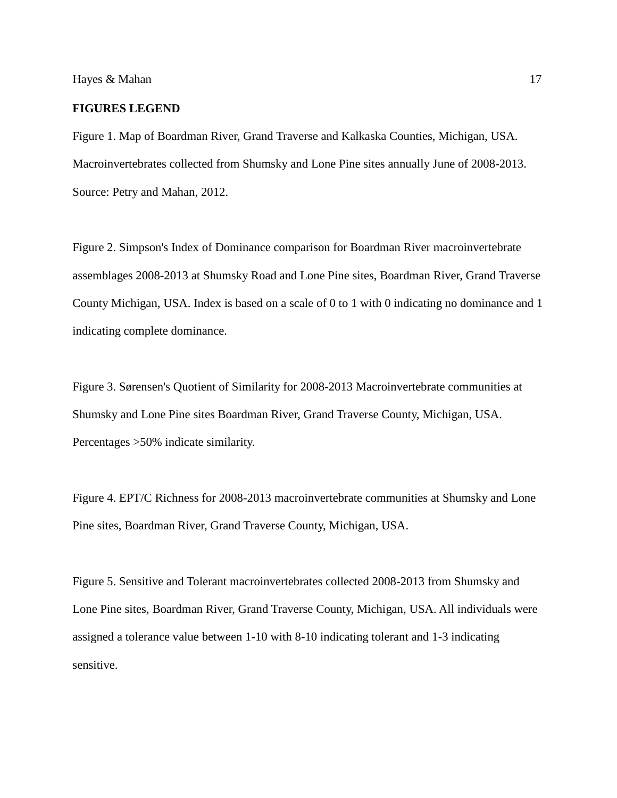#### **FIGURES LEGEND**

Figure 1. Map of Boardman River, Grand Traverse and Kalkaska Counties, Michigan, USA. Macroinvertebrates collected from Shumsky and Lone Pine sites annually June of 2008-2013. Source: Petry and Mahan, 2012.

Figure 2. Simpson's Index of Dominance comparison for Boardman River macroinvertebrate assemblages 2008-2013 at Shumsky Road and Lone Pine sites, Boardman River, Grand Traverse County Michigan, USA. Index is based on a scale of 0 to 1 with 0 indicating no dominance and 1 indicating complete dominance.

Figure 3. Sørensen's Quotient of Similarity for 2008-2013 Macroinvertebrate communities at Shumsky and Lone Pine sites Boardman River, Grand Traverse County, Michigan, USA. Percentages >50% indicate similarity.

Figure 4. EPT/C Richness for 2008-2013 macroinvertebrate communities at Shumsky and Lone Pine sites, Boardman River, Grand Traverse County, Michigan, USA.

Figure 5. Sensitive and Tolerant macroinvertebrates collected 2008-2013 from Shumsky and Lone Pine sites, Boardman River, Grand Traverse County, Michigan, USA. All individuals were assigned a tolerance value between 1-10 with 8-10 indicating tolerant and 1-3 indicating sensitive.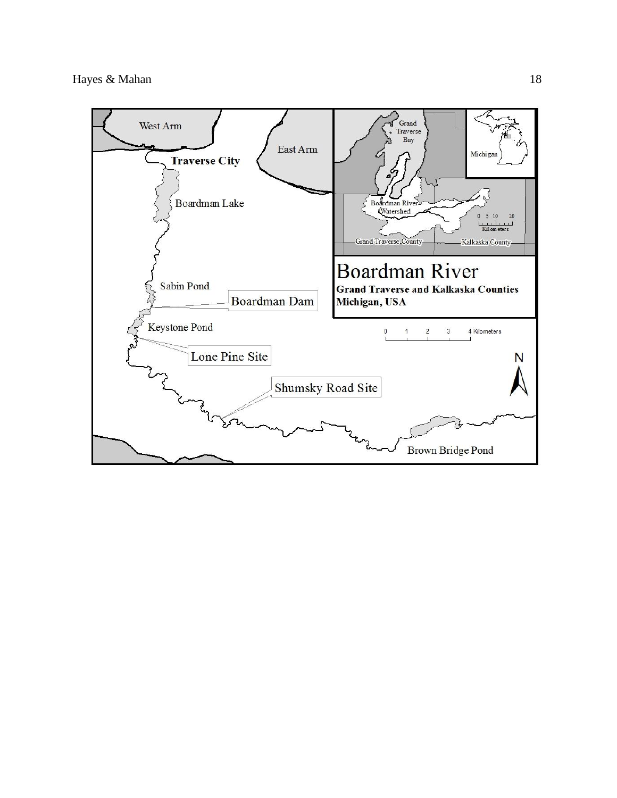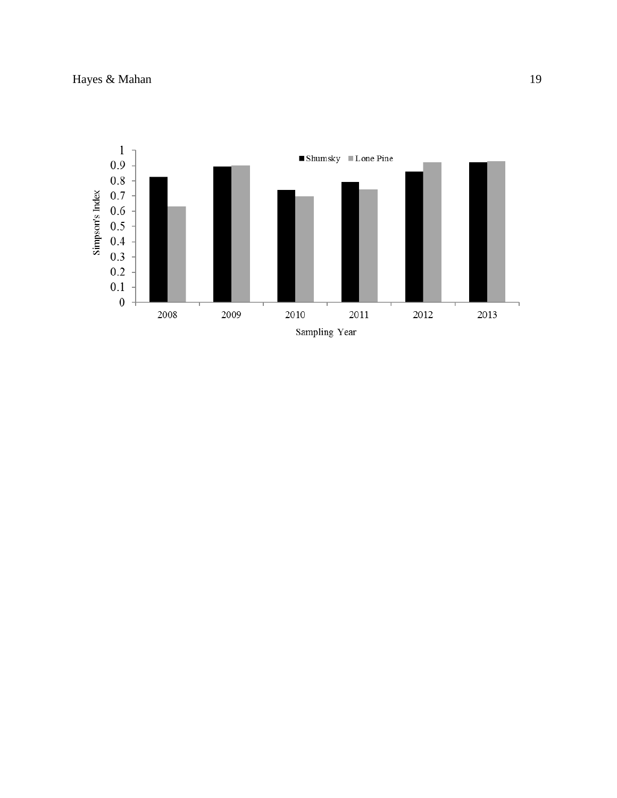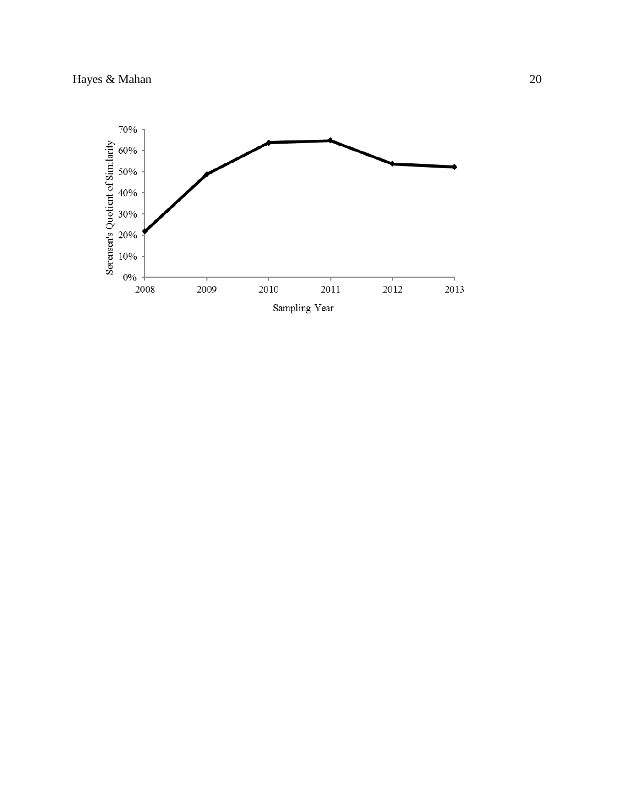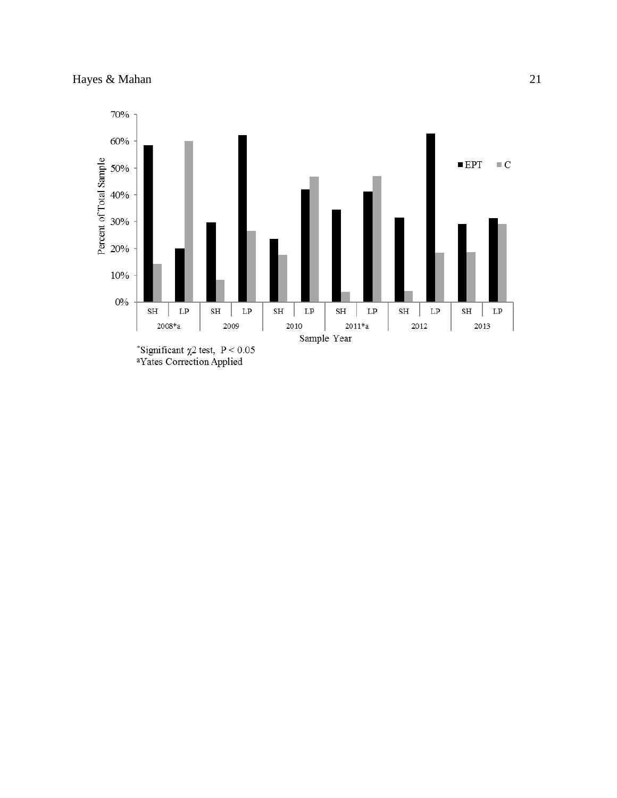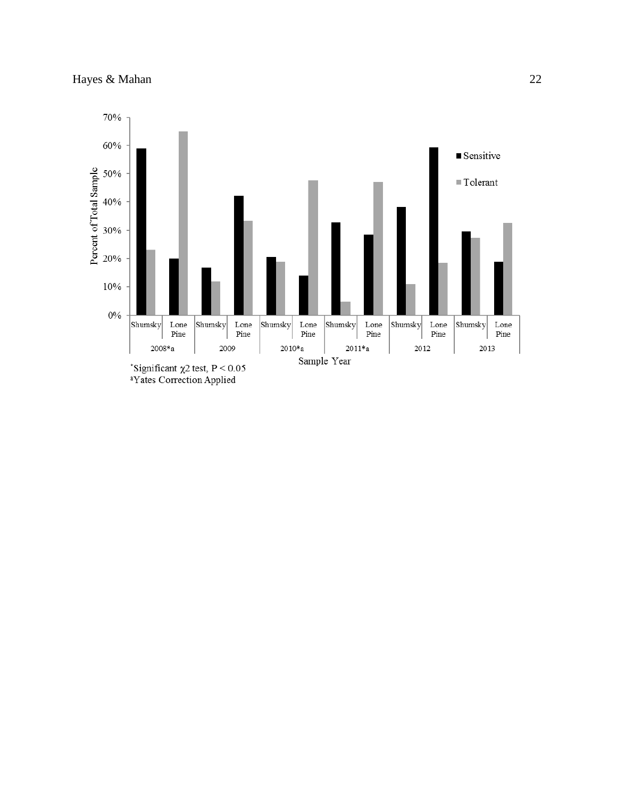

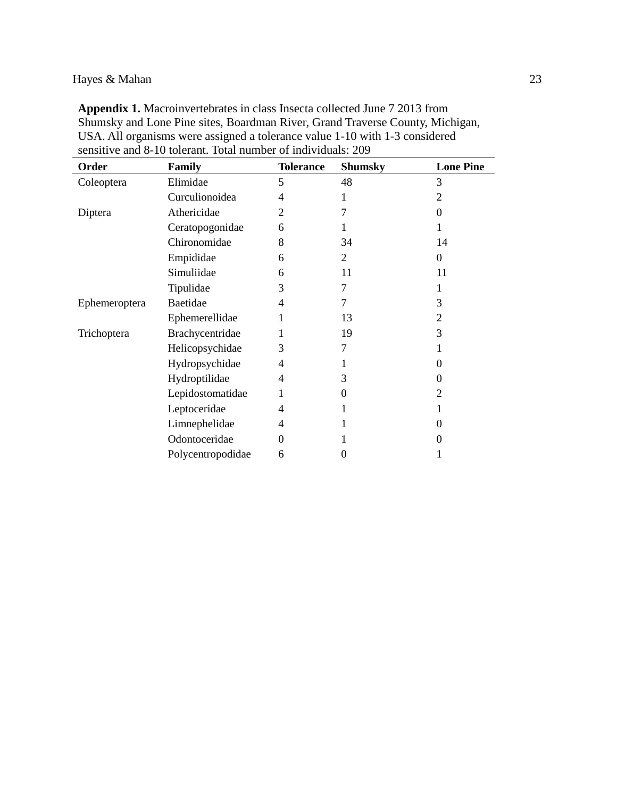| <b>Appendix 1.</b> Macroinvertebrates in class Insecta collected June 7 2013 from |
|-----------------------------------------------------------------------------------|
| Shumsky and Lone Pine sites, Boardman River, Grand Traverse County, Michigan,     |
| USA. All organisms were assigned a tolerance value 1-10 with 1-3 considered       |
| sensitive and 8-10 tolerant. Total number of individuals: 209                     |

| Order         | <b>Family</b>     | <b>Tolerance</b> | <b>Shumsky</b> | <b>Lone Pine</b> |
|---------------|-------------------|------------------|----------------|------------------|
| Coleoptera    | Elimidae          | 5                | 48             | 3                |
|               | Curculionoidea    | 4                | 1              | 2                |
| Diptera       | Athericidae       | 2                | 7              | $\Omega$         |
|               | Ceratopogonidae   | 6                |                |                  |
|               | Chironomidae      | 8                | 34             | 14               |
|               | Empididae         | 6                | 2              | $\Omega$         |
|               | Simuliidae        | 6                | 11             | 11               |
|               | Tipulidae         | 3                | 7              |                  |
| Ephemeroptera | Baetidae          | 4                | 7              | 3                |
|               | Ephemerellidae    |                  | 13             | 2                |
| Trichoptera   | Brachycentridae   |                  | 19             | 3                |
|               | Helicopsychidae   | 3                | 7              |                  |
|               | Hydropsychidae    | 4                | 1              | $\theta$         |
|               | Hydroptilidae     | 4                | 3              | $\Omega$         |
|               | Lepidostomatidae  | 1                | 0              | 2                |
|               | Leptoceridae      | 4                | 1              |                  |
|               | Limnephelidae     | 4                | 1              | $\theta$         |
|               | Odontoceridae     | $\Omega$         |                | $\theta$         |
|               | Polycentropodidae | 6                | 0              |                  |